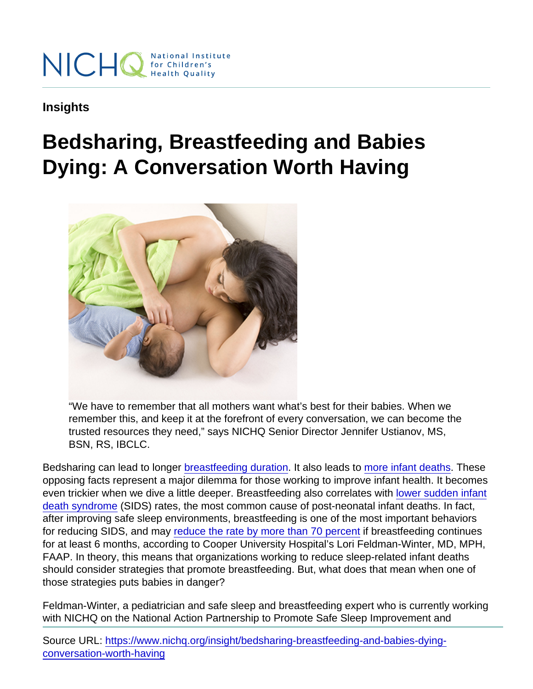Insights

## Bedsharing, Breastfeeding and Babies Dying: A Conversation Worth Having

"We have to remember that all mothers want what's best for their babies. When we remember this, and keep it at the forefront of every conversation, we can become the trusted resources they need," says NICHQ Senior Director Jennifer Ustianov, MS, BSN, RS, IBCLC.

Bedsharing can lead to longer [breastfeeding duration](https://jamanetwork.com/journals/jamapediatrics/fullarticle/1740763). It also leads to [more infant deaths.](https://www.cdc.gov/media/releases/2018/p0109-sleep-related-deaths.html) These opposing facts represent a major dilemma for those working to improve infant health. It becomes even trickier when we dive a little deeper. Breastfeeding also correlates with [lower sudden infant](http://pediatrics.aappublications.org/content/128/1/103) [death syndrome](http://pediatrics.aappublications.org/content/128/1/103) (SIDS) rates, the most common cause of post-neonatal infant deaths. In fact, after improving safe sleep environments, breastfeeding is one of the most important behaviors for reducing SIDS, and may [reduce the rate by more than 70 percent](https://www.ncbi.nlm.nih.gov/pubmed/29084835) if breastfeeding continues for at least 6 months, according to Cooper University Hospital's Lori Feldman-Winter, MD, MPH, FAAP. In theory, this means that organizations working to reduce sleep-related infant deaths should consider strategies that promote breastfeeding. But, what does that mean when one of those strategies puts babies in danger?

Feldman-Winter, a pediatrician and safe sleep and breastfeeding expert who is currently working with NICHQ on the National Action Partnership to Promote Safe Sleep Improvement and

Source URL: [https://www.nichq.org/insight/bedsharing-breastfeeding-and-babies-dying](https://www.nichq.org/insight/bedsharing-breastfeeding-and-babies-dying-conversation-worth-having)[conversation-worth-having](https://www.nichq.org/insight/bedsharing-breastfeeding-and-babies-dying-conversation-worth-having)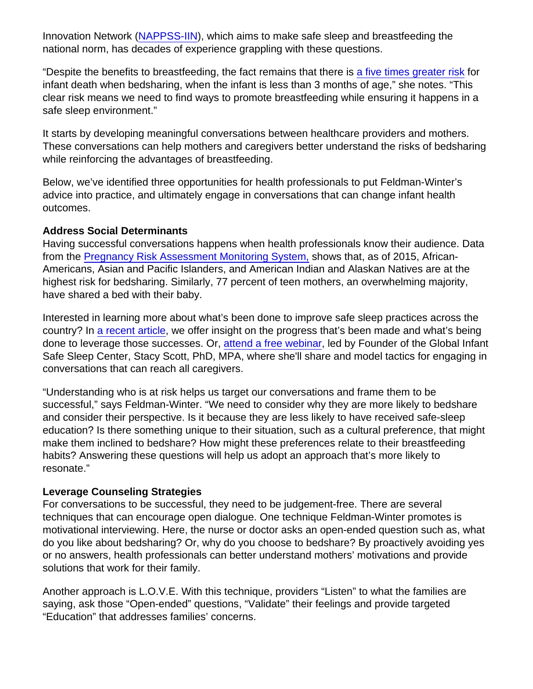Innovation Network [\(NAPPSS-IIN](https://www.nichq.org/nappss-iin)), which aims to make safe sleep and breastfeeding the national norm, has decades of experience grappling with these questions.

"Despite the benefits to breastfeeding, the fact remains that there is [a five times greater risk](http://bmjopen.bmj.com/content/3/5/e002299) for infant death when bedsharing, when the infant is less than 3 months of age," she notes. "This clear risk means we need to find ways to promote breastfeeding while ensuring it happens in a safe sleep environment."

It starts by developing meaningful conversations between healthcare providers and mothers. These conversations can help mothers and caregivers better understand the risks of bedsharing while reinforcing the advantages of breastfeeding.

Below, we've identified three opportunities for health professionals to put Feldman-Winter's advice into practice, and ultimately engage in conversations that can change infant health outcomes.

## Address Social Determinants

Having successful conversations happens when health professionals know their audience. Data from the [Pregnancy Risk Assessment Monitoring System,](https://www.cdc.gov/prams/index.htm) shows that, as of 2015, African-Americans, Asian and Pacific Islanders, and American Indian and Alaskan Natives are at the highest risk for bedsharing. Similarly, 77 percent of teen mothers, an overwhelming majority, have shared a bed with their baby.

Interested in learning more about what's been done to improve safe sleep practices across the country? In [a recent article](https://www.nichq.org/insight/ignoring-safe-sleep-progress-risks-increasing-safe-sleep-deaths), we offer insight on the progress that's been made and what's being done to leverage those successes. Or, [attend a free webinar,](https://www.nichq.org/safe-sleep-webinar) led by Founder of the Global Infant Safe Sleep Center, Stacy Scott, PhD, MPA, where she'll share and model tactics for engaging in conversations that can reach all caregivers.

"Understanding who is at risk helps us target our conversations and frame them to be successful," says Feldman-Winter. "We need to consider why they are more likely to bedshare and consider their perspective. Is it because they are less likely to have received safe-sleep education? Is there something unique to their situation, such as a cultural preference, that might make them inclined to bedshare? How might these preferences relate to their breastfeeding habits? Answering these questions will help us adopt an approach that's more likely to resonate."

## Leverage Counseling Strategies

For conversations to be successful, they need to be judgement-free. There are several techniques that can encourage open dialogue. One technique Feldman-Winter promotes is motivational interviewing. Here, the nurse or doctor asks an open-ended question such as, what do you like about bedsharing? Or, why do you choose to bedshare? By proactively avoiding yes or no answers, health professionals can better understand mothers' motivations and provide solutions that work for their family.

Another approach is L.O.V.E. With this technique, providers "Listen" to what the families are saying, ask those "Open-ended" questions, "Validate" their feelings and provide targeted "Education" that addresses families' concerns.